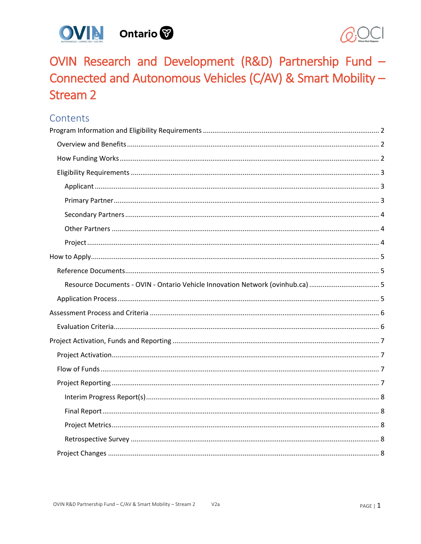



OVIN Research and Development (R&D) Partnership Fund -Connected and Autonomous Vehicles (C/AV) & Smart Mobility -**Stream 2** 

## Contents

| Resource Documents - OVIN - Ontario Vehicle Innovation Network (ovinhub.ca) |  |
|-----------------------------------------------------------------------------|--|
|                                                                             |  |
|                                                                             |  |
|                                                                             |  |
|                                                                             |  |
|                                                                             |  |
|                                                                             |  |
|                                                                             |  |
|                                                                             |  |
|                                                                             |  |
|                                                                             |  |
|                                                                             |  |
|                                                                             |  |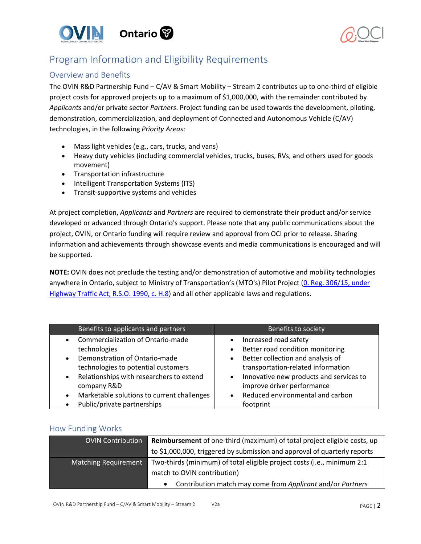



# <span id="page-1-0"></span>Program Information and Eligibility Requirements

## <span id="page-1-1"></span>Overview and Benefits

The OVIN R&D Partnership Fund – C/AV & Smart Mobility – Stream 2 contributes up to one-third of eligible project costs for approved projects up to a maximum of \$1,000,000, with the remainder contributed by *Applicants* and/or private sector *Partners*. Project funding can be used towards the development, piloting, demonstration, commercialization, and deployment of Connected and Autonomous Vehicle (C/AV) technologies, in the following *Priority Areas*:

- Mass light vehicles (e.g., cars, trucks, and vans)
- Heavy duty vehicles (including commercial vehicles, trucks, buses, RVs, and others used for goods movement)
- Transportation infrastructure
- Intelligent Transportation Systems (ITS)
- Transit-supportive systems and vehicles

At project completion, *Applicants* and *Partners* are required to demonstrate their product and/or service developed or advanced through Ontario's support. Please note that any public communications about the project, OVIN, or Ontario funding will require review and approval from OCI prior to release. Sharing information and achievements through showcase events and media communications is encouraged and will be supported.

**NOTE:** OVIN does not preclude the testing and/or demonstration of automotive and mobility technologies anywhere in Ontario, subject to Ministry of Transportation's (MTO's) Pilot Project (0. Reg. 306/15, under [Highway Traffic Act, R.S.O. 1990, c. H.8\)](http://www.ontariocanada.com/registry/view.do?postingId=26147&language=en) and all other applicable laws and regulations.

| Benefits to applicants and partners                     | Benefits to society                                  |
|---------------------------------------------------------|------------------------------------------------------|
| Commercialization of Ontario-made<br>$\bullet$          | Increased road safety<br>$\bullet$                   |
| technologies                                            | Better road condition monitoring                     |
| Demonstration of Ontario-made<br>$\bullet$              | Better collection and analysis of                    |
| technologies to potential customers                     | transportation-related information                   |
| Relationships with researchers to extend<br>$\bullet$   | Innovative new products and services to<br>$\bullet$ |
| company R&D                                             | improve driver performance                           |
| Marketable solutions to current challenges<br>$\bullet$ | Reduced environmental and carbon                     |
| Public/private partnerships<br>$\bullet$                | footprint                                            |

### <span id="page-1-2"></span>How Funding Works

| <b>OVIN Contribution</b>    | Reimbursement of one-third (maximum) of total project eligible costs, up  |
|-----------------------------|---------------------------------------------------------------------------|
|                             | to \$1,000,000, triggered by submission and approval of quarterly reports |
| <b>Matching Requirement</b> | Two-thirds (minimum) of total eligible project costs (i.e., minimum 2:1   |
|                             | match to OVIN contribution)                                               |
|                             | Contribution match may come from Applicant and/or Partners                |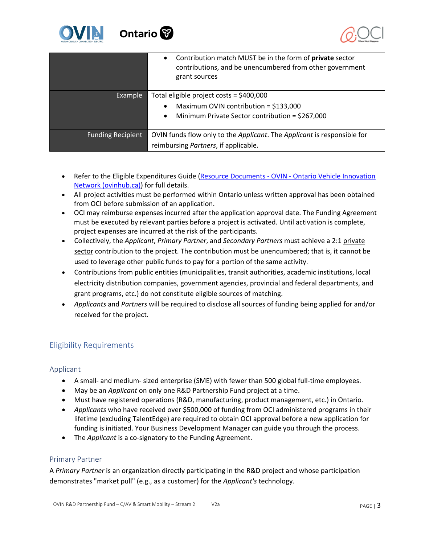



|                          | Contribution match MUST be in the form of private sector<br>$\bullet$<br>contributions, and be unencumbered from other government<br>grant sources |
|--------------------------|----------------------------------------------------------------------------------------------------------------------------------------------------|
| Example                  | Total eligible project costs = \$400,000                                                                                                           |
|                          | Maximum OVIN contribution = \$133,000<br>$\bullet$                                                                                                 |
|                          | Minimum Private Sector contribution = \$267,000<br>$\bullet$                                                                                       |
| <b>Funding Recipient</b> | OVIN funds flow only to the Applicant. The Applicant is responsible for                                                                            |
|                          | reimbursing Partners, if applicable.                                                                                                               |

- Refer to the Eligible Expenditures Guide (Resource Documents OVIN Ontario Vehicle Innovation [Network \(ovinhub.ca\)\)](https://www.ovinhub.ca/resource-documents/) for full details.
- All project activities must be performed within Ontario unless written approval has been obtained from OCI before submission of an application.
- OCI may reimburse expenses incurred after the application approval date. The Funding Agreement must be executed by relevant parties before a project is activated. Until activation is complete, project expenses are incurred at the risk of the participants.
- Collectively, the *Applicant*, *Primary Partner*, and *Secondary Partners* must achieve a 2:1 private sector contribution to the project. The contribution must be unencumbered; that is, it cannot be used to leverage other public funds to pay for a portion of the same activity.
- Contributions from public entities (municipalities, transit authorities, academic institutions, local electricity distribution companies, government agencies, provincial and federal departments, and grant programs, etc.) do not constitute eligible sources of matching.
- *Applicants* and *Partners* will be required to disclose all sources of funding being applied for and/or received for the project.

## <span id="page-2-0"></span>Eligibility Requirements

<span id="page-2-1"></span>Applicant

- A small- and medium- sized enterprise (SME) with fewer than 500 global full-time employees.
- May be an *Applicant* on only one R&D Partnership Fund project at a time.
- Must have registered operations (R&D, manufacturing, product management, etc.) in Ontario.
- *Applicants* who have received over \$500,000 of funding from OCI administered programs in their lifetime (excluding TalentEdge) are required to obtain OCI approval before a new application for funding is initiated. Your Business Development Manager can guide you through the process.
- The *Applicant* is a co-signatory to the Funding Agreement.

### <span id="page-2-2"></span>Primary Partner

A *Primary Partner* is an organization directly participating in the R&D project and whose participation demonstrates "market pull" (e.g., as a customer) for the *Applicant's* technology.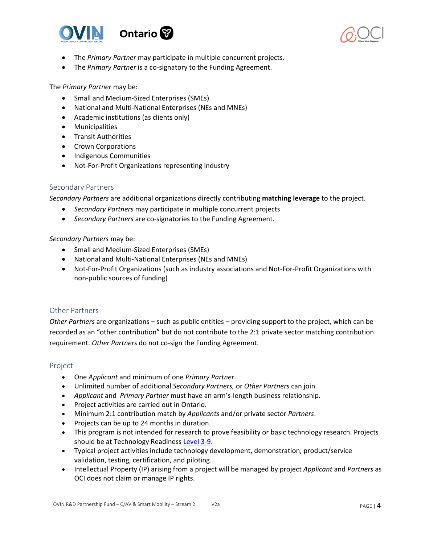



- The *Primary Partner* may participate in multiple concurrent projects.
- The *Primary Partner* is a co-signatory to the Funding Agreement.

The *Primary Partner* may be:

- Small and Medium-Sized Enterprises (SMEs)
- National and Multi-National Enterprises (NEs and MNEs)
- Academic institutions (as clients only)
- Municipalities
- Transit Authorities
- Crown Corporations
- Indigenous Communities
- Not-For-Profit Organizations representing industry

### <span id="page-3-0"></span>Secondary Partners

*Secondary Partners* are additional organizations directly contributing **matching leverage** to the project.

- *Secondary Partners* may participate in multiple concurrent projects
- *Secondary Partners* are co-signatories to the Funding Agreement.

#### *Secondary Partners* may be:

- Small and Medium-Sized Enterprises (SMEs)
- National and Multi-National Enterprises (NEs and MNEs)
- Not-For-Profit Organizations (such as industry associations and Not-For-Profit Organizations with non-public sources of funding)

### <span id="page-3-1"></span>Other Partners

*Other Partners* are organizations – such as public entities – providing support to the project, which can be recorded as an "other contribution" but do not contribute to the 2:1 private sector matching contribution requirement. *Other Partners* do not co-sign the Funding Agreement.

#### <span id="page-3-2"></span>Project

- One *Applicant* and minimum of one *Primary Partner*.
- Unlimited number of additional *Secondary Partners,* or *Other Partners* can join.
- *Applicant* and *Primary Partner* must have an arm's-length business relationship.
- Project activities are carried out in Ontario.
- Minimum 2:1 contribution match by *Applicants* and/or private sector *Partners*.
- Projects can be up to 24 months in duration.
- This program is not intended for research to prove feasibility or basic technology research. Projects should be at Technology Readiness [Level 3-9.](https://www.ic.gc.ca/eic/site/ito-oti.nsf/eng/00849.html)
- Typical project activities include technology development, demonstration, product/service validation, testing, certification, and piloting.
- Intellectual Property (IP) arising from a project will be managed by project *Applicant* and *Partners* as OCI does not claim or manage IP rights.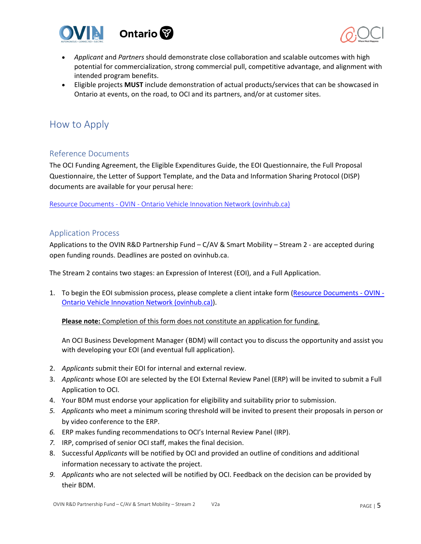



- *Applicant* and *Partners* should demonstrate close collaboration and scalable outcomes with high potential for commercialization, strong commercial pull, competitive advantage, and alignment with intended program benefits.
- Eligible projects **MUST** include demonstration of actual products/services that can be showcased in Ontario at events, on the road, to OCI and its partners, and/or at customer sites.

## <span id="page-4-0"></span>How to Apply

### <span id="page-4-1"></span>Reference Documents

The OCI Funding Agreement, the Eligible Expenditures Guide, the EOI Questionnaire, the Full Proposal Questionnaire, the Letter of Support Template, and the Data and Information Sharing Protocol (DISP) documents are available for your perusal here:

<span id="page-4-2"></span>[Resource Documents - OVIN - Ontario Vehicle Innovation Network \(ovinhub.ca\)](https://www.ovinhub.ca/resource-documents/)

### <span id="page-4-3"></span>Application Process

Applications to the OVIN R&D Partnership Fund – C/AV & Smart Mobility – Stream 2 - are accepted during open funding rounds. Deadlines are posted on ovinhub.ca.

The Stream 2 contains two stages: an Expression of Interest (EOI), and a Full Application.

1. To begin the EOI submission process, please complete a client intake form (Resource Documents - OVIN -[Ontario Vehicle Innovation Network \(ovinhub.ca\)\)](https://www.ovinhub.ca/resource-documents/).

**Please note:** Completion of this form does not constitute an application for funding.

An OCI Business Development Manager (BDM) will contact you to discuss the opportunity and assist you with developing your EOI (and eventual full application).

- 2. *Applicants* submit their EOI for internal and external review.
- 3. *Applicants* whose EOI are selected by the EOI External Review Panel (ERP) will be invited to submit a Full Application to OCI.
- 4. Your BDM must endorse your application for eligibility and suitability prior to submission.
- *5. Applicants* who meet a minimum scoring threshold will be invited to present their proposals in person or by video conference to the ERP.
- *6.* ERP makes funding recommendations to OCI's Internal Review Panel (IRP).
- *7.* IRP, comprised of senior OCI staff, makes the final decision.
- 8. Successful *Applicants* will be notified by OCI and provided an outline of conditions and additional information necessary to activate the project.
- *9. Applicants* who are not selected will be notified by OCI. Feedback on the decision can be provided by their BDM.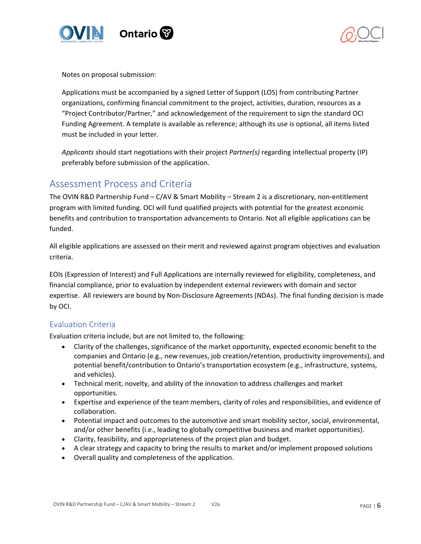



Notes on proposal submission:

Applications must be accompanied by a signed Letter of Support (LOS) from contributing Partner organizations, confirming financial commitment to the project, activities, duration, resources as a "Project Contributor/Partner," and acknowledgement of the requirement to sign the standard OCI Funding Agreement. A template is available as reference; although its use is optional, all items listed must be included in your letter.

*Applicants* should start negotiations with their project *Partner(s)* regarding intellectual property (IP) preferably before submission of the application.

## <span id="page-5-0"></span>Assessment Process and Criteria

The OVIN R&D Partnership Fund – C/AV & Smart Mobility – Stream 2 is a discretionary, non-entitlement program with limited funding. OCI will fund qualified projects with potential for the greatest economic benefits and contribution to transportation advancements to Ontario. Not all eligible applications can be funded.

All eligible applications are assessed on their merit and reviewed against program objectives and evaluation criteria.

EOIs (Expression of Interest) and Full Applications are internally reviewed for eligibility, completeness, and financial compliance, prior to evaluation by independent external reviewers with domain and sector expertise. All reviewers are bound by Non-Disclosure Agreements (NDAs). The final funding decision is made by OCI.

## <span id="page-5-1"></span>Evaluation Criteria

Evaluation criteria include, but are not limited to, the following:

- Clarity of the challenges, significance of the market opportunity, expected economic benefit to the companies and Ontario (e.g., new revenues, job creation/retention, productivity improvements), and potential benefit/contribution to Ontario's transportation ecosystem (e.g., infrastructure, systems, and vehicles).
- Technical merit, novelty, and ability of the innovation to address challenges and market opportunities.
- Expertise and experience of the team members, clarity of roles and responsibilities, and evidence of collaboration.
- Potential impact and outcomes to the automotive and smart mobility sector, social, environmental, and/or other benefits (i.e., leading to globally competitive business and market opportunities).
- Clarity, feasibility, and appropriateness of the project plan and budget.
- A clear strategy and capacity to bring the results to market and/or implement proposed solutions
- Overall quality and completeness of the application.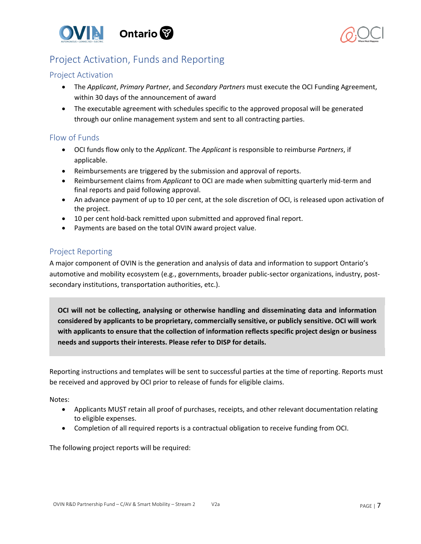



# <span id="page-6-0"></span>Project Activation, Funds and Reporting

## <span id="page-6-1"></span>Project Activation

- The *Applicant*, *Primary Partner*, and *Secondary Partners* must execute the OCI Funding Agreement, within 30 days of the announcement of award
- The executable agreement with schedules specific to the approved proposal will be generated through our online management system and sent to all contracting parties.

## <span id="page-6-2"></span>Flow of Funds

- OCI funds flow only to the *Applicant*. The *Applicant* is responsible to reimburse *Partners*, if applicable.
- Reimbursements are triggered by the submission and approval of reports.
- Reimbursement claims from *Applicant* to OCI are made when submitting quarterly mid-term and final reports and paid following approval.
- An advance payment of up to 10 per cent, at the sole discretion of OCI, is released upon activation of the project.
- 10 per cent hold-back remitted upon submitted and approved final report.
- Payments are based on the total OVIN award project value.

## <span id="page-6-3"></span>Project Reporting

A major component of OVIN is the generation and analysis of data and information to support Ontario's automotive and mobility ecosystem (e.g., governments, broader public-sector organizations, industry, postsecondary institutions, transportation authorities, etc.).

**OCI will not be collecting, analysing or otherwise handling and disseminating data and information considered by applicants to be proprietary, commercially sensitive, or publicly sensitive. OCI will work with applicants to ensure that the collection of information reflects specific project design or business needs and supports their interests. Please refer to DISP for details.**

Reporting instructions and templates will be sent to successful parties at the time of reporting. Reports must be received and approved by OCI prior to release of funds for eligible claims.

Notes:

- Applicants MUST retain all proof of purchases, receipts, and other relevant documentation relating to eligible expenses.
- Completion of all required reports is a contractual obligation to receive funding from OCI.

The following project reports will be required: